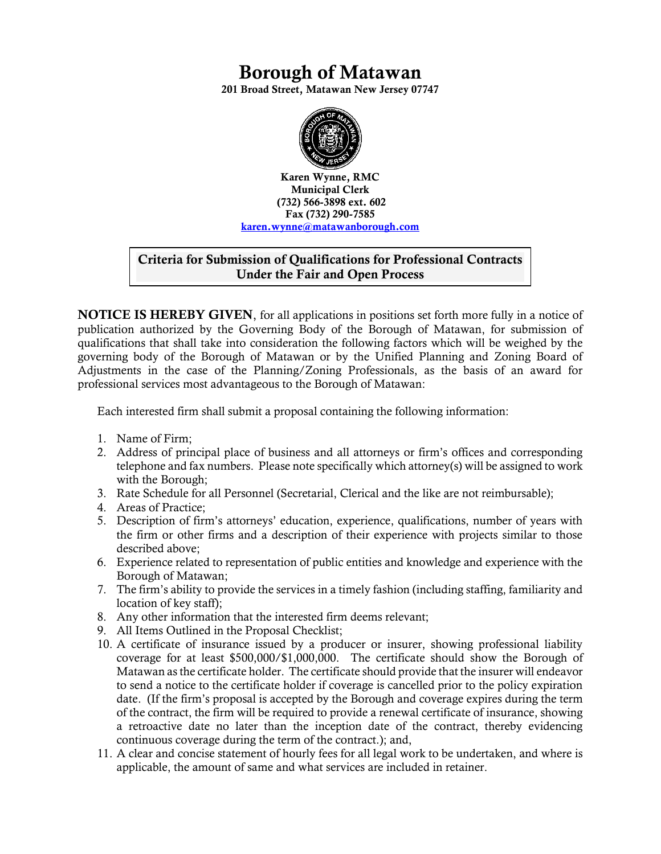# **Borough of Matawan**

**201 Broad Street, Matawan New Jersey 07747**



**Karen Wynne, RMC Municipal Clerk (732) 566-3898 ext. 602 Fax (732) 290-7585 karen.wynne@matawanborough.com**

### **Criteria for Submission of Qualifications for Professional Contracts Under the Fair and Open Process**

**NOTICE IS HEREBY GIVEN**, for all applications in positions set forth more fully in a notice of publication authorized by the Governing Body of the Borough of Matawan, for submission of qualifications that shall take into consideration the following factors which will be weighed by the governing body of the Borough of Matawan or by the Unified Planning and Zoning Board of Adjustments in the case of the Planning/Zoning Professionals, as the basis of an award for professional services most advantageous to the Borough of Matawan:

Each interested firm shall submit a proposal containing the following information:

- 1. Name of Firm;
- 2. Address of principal place of business and all attorneys or firm's offices and corresponding telephone and fax numbers. Please note specifically which attorney(s) will be assigned to work with the Borough;
- 3. Rate Schedule for all Personnel (Secretarial, Clerical and the like are not reimbursable);
- 4. Areas of Practice;
- 5. Description of firm's attorneys' education, experience, qualifications, number of years with the firm or other firms and a description of their experience with projects similar to those described above;
- 6. Experience related to representation of public entities and knowledge and experience with the Borough of Matawan;
- 7. The firm's ability to provide the services in a timely fashion (including staffing, familiarity and location of key staff);
- 8. Any other information that the interested firm deems relevant;
- 9. All Items Outlined in the Proposal Checklist;
- 10. A certificate of insurance issued by a producer or insurer, showing professional liability coverage for at least \$500,000/\$1,000,000. The certificate should show the Borough of Matawan as the certificate holder. The certificate should provide that the insurer will endeavor to send a notice to the certificate holder if coverage is cancelled prior to the policy expiration date. (If the firm's proposal is accepted by the Borough and coverage expires during the term of the contract, the firm will be required to provide a renewal certificate of insurance, showing a retroactive date no later than the inception date of the contract, thereby evidencing continuous coverage during the term of the contract.); and,
- 11. A clear and concise statement of hourly fees for all legal work to be undertaken, and where is applicable, the amount of same and what services are included in retainer.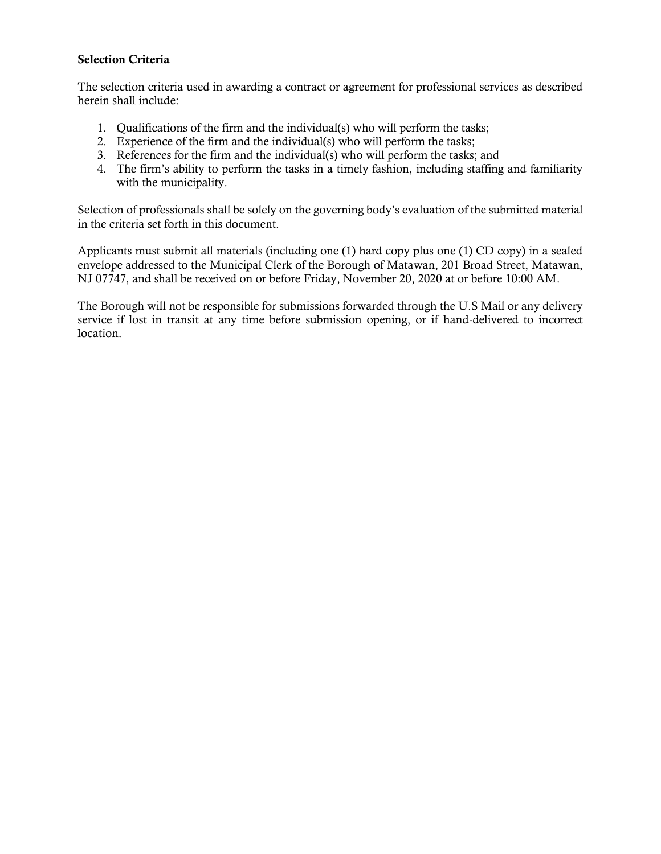#### **Selection Criteria**

The selection criteria used in awarding a contract or agreement for professional services as described herein shall include:

- 1. Qualifications of the firm and the individual(s) who will perform the tasks;
- 2. Experience of the firm and the individual(s) who will perform the tasks;
- 3. References for the firm and the individual(s) who will perform the tasks; and
- 4. The firm's ability to perform the tasks in a timely fashion, including staffing and familiarity with the municipality.

Selection of professionals shall be solely on the governing body's evaluation of the submitted material in the criteria set forth in this document.

Applicants must submit all materials (including one (1) hard copy plus one (1) CD copy) in a sealed envelope addressed to the Municipal Clerk of the Borough of Matawan, 201 Broad Street, Matawan, NJ 07747, and shall be received on or before Friday, November 20, 2020 at or before 10:00 AM.

The Borough will not be responsible for submissions forwarded through the U.S Mail or any delivery service if lost in transit at any time before submission opening, or if hand-delivered to incorrect location.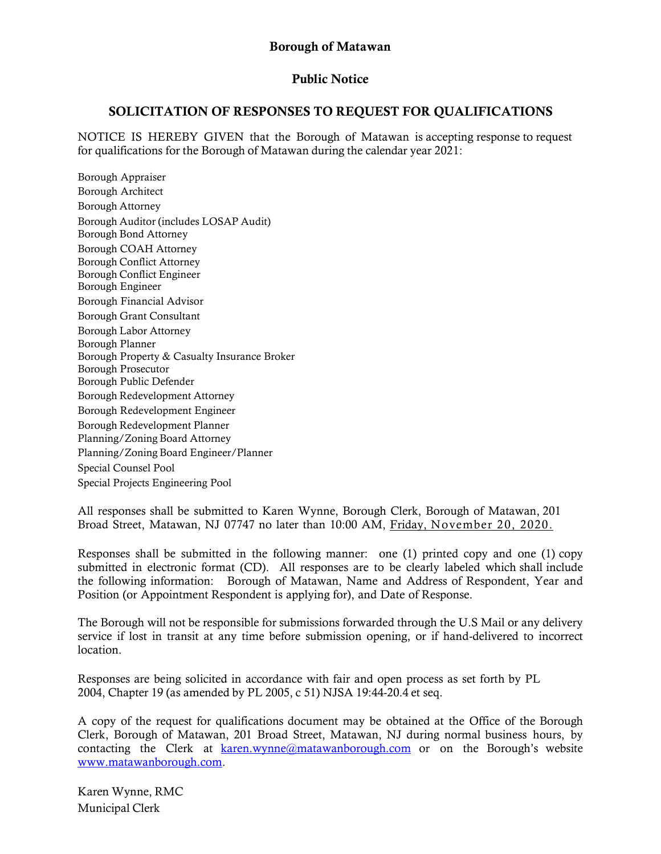### **Public Notice**

### **SOLICITATION OF RESPONSES TO REQUEST FOR QUALIFICATIONS**

NOTICE IS HEREBY GIVEN that the Borough of Matawan is accepting response to request for qualifications for the Borough of Matawan during the calendar year 2021:

Borough Appraiser Borough Architect Borough Attorney Borough Auditor (includes LOSAP Audit) Borough Bond Attorney Borough COAH Attorney Borough Conflict Attorney Borough Conflict Engineer Borough Engineer Borough Financial Advisor Borough Grant Consultant Borough Labor Attorney Borough Planner Borough Property & Casualty Insurance Broker Borough Prosecutor Borough Public Defender Borough Redevelopment Attorney Borough Redevelopment Engineer Borough Redevelopment Planner Planning/Zoning Board Attorney Planning/Zoning Board Engineer/Planner Special Counsel Pool Special Projects Engineering Pool

All responses shall be submitted to Karen Wynne, Borough Clerk, Borough of Matawan, 201 Broad Street, Matawan, NJ 07747 no later than 10:00 AM, Friday, November 20, 2020.

Responses shall be submitted in the following manner: one (1) printed copy and one (1) copy submitted in electronic format (CD). All responses are to be clearly labeled which shall include the following information: Borough of Matawan, Name and Address of Respondent, Year and Position (or Appointment Respondent is applying for), and Date of Response.

The Borough will not be responsible for submissions forwarded through the U.S Mail or any delivery service if lost in transit at any time before submission opening, or if hand-delivered to incorrect location.

Responses are being solicited in accordance with fair and open process as set forth by PL 2004, Chapter 19 (as amended by PL 2005, c 51) NJSA 19:44-20.4 et seq.

A copy of the request for qualifications document may be obtained at the Office of the Borough Clerk, Borough of Matawan, 201 Broad Street, Matawan, NJ during normal business hours, by contacting the Clerk at [karen.wynne@matawanborough.com](mailto:karen.wynne@matawanborough.com) or on the Borough's website [www.matawanborough.com.](http://www.matawanborough.com/)

Karen Wynne, RMC Municipal Clerk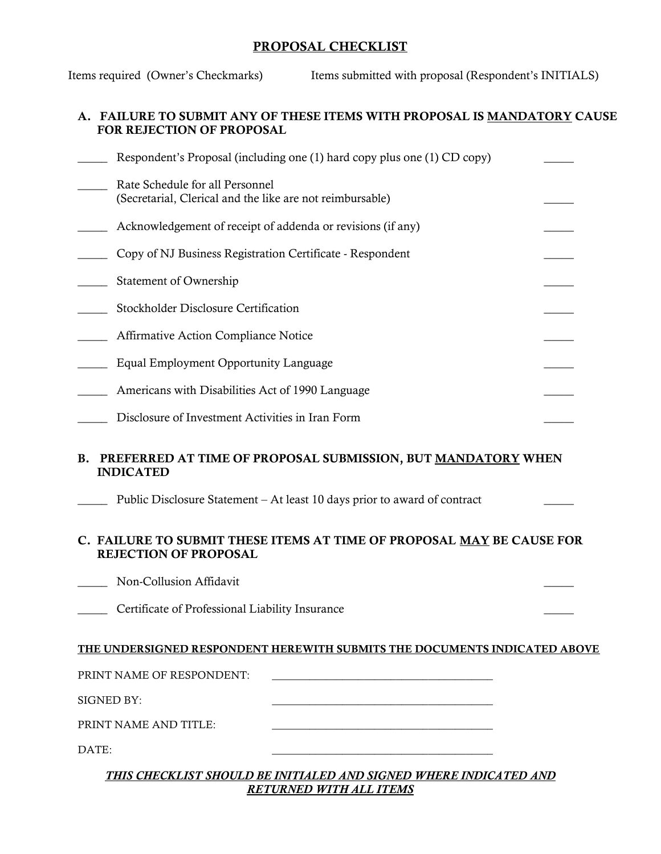### **PROPOSAL CHECKLIST**

Items required (Owner's Checkmarks) Items submitted with proposal (Respondent's INITIALS)

### **A. FAILURE TO SUBMIT ANY OF THESE ITEMS WITH PROPOSAL IS MANDATORY CAUSE FOR REJECTION OF PROPOSAL**

| Respondent's Proposal (including one (1) hard copy plus one (1) CD copy)                                                                                                   |  |
|----------------------------------------------------------------------------------------------------------------------------------------------------------------------------|--|
| Rate Schedule for all Personnel<br>(Secretarial, Clerical and the like are not reimbursable)                                                                               |  |
| Acknowledgement of receipt of addenda or revisions (if any)                                                                                                                |  |
| Copy of NJ Business Registration Certificate - Respondent                                                                                                                  |  |
| Statement of Ownership                                                                                                                                                     |  |
| Stockholder Disclosure Certification                                                                                                                                       |  |
| Affirmative Action Compliance Notice                                                                                                                                       |  |
| Equal Employment Opportunity Language                                                                                                                                      |  |
| Americans with Disabilities Act of 1990 Language                                                                                                                           |  |
| Disclosure of Investment Activities in Iran Form                                                                                                                           |  |
| PREFERRED AT TIME OF PROPOSAL SUBMISSION, BUT MANDATORY WHEN<br><b>B.</b><br><b>INDICATED</b><br>Public Disclosure Statement – At least 10 days prior to award of contract |  |
| C. FAILURE TO SUBMIT THESE ITEMS AT TIME OF PROPOSAL MAY BE CAUSE FOR<br><b>REJECTION OF PROPOSAL</b>                                                                      |  |
| Non-Collusion Affidavit                                                                                                                                                    |  |
| Certificate of Professional Liability Insurance                                                                                                                            |  |
| THE UNDERSIGNED RESPONDENT HEREWITH SUBMITS THE DOCUMENTS INDICATED ABOVE                                                                                                  |  |
| PRINT NAME OF RESPONDENT:                                                                                                                                                  |  |
| SIGNED BY:                                                                                                                                                                 |  |
| PRINT NAME AND TITLE:                                                                                                                                                      |  |
| DATE:                                                                                                                                                                      |  |

#### *THIS CHECKLIST SHOULD BE INITIALED AND SIGNED WHERE INDICATED AND RETURNED WITH ALL ITEMS*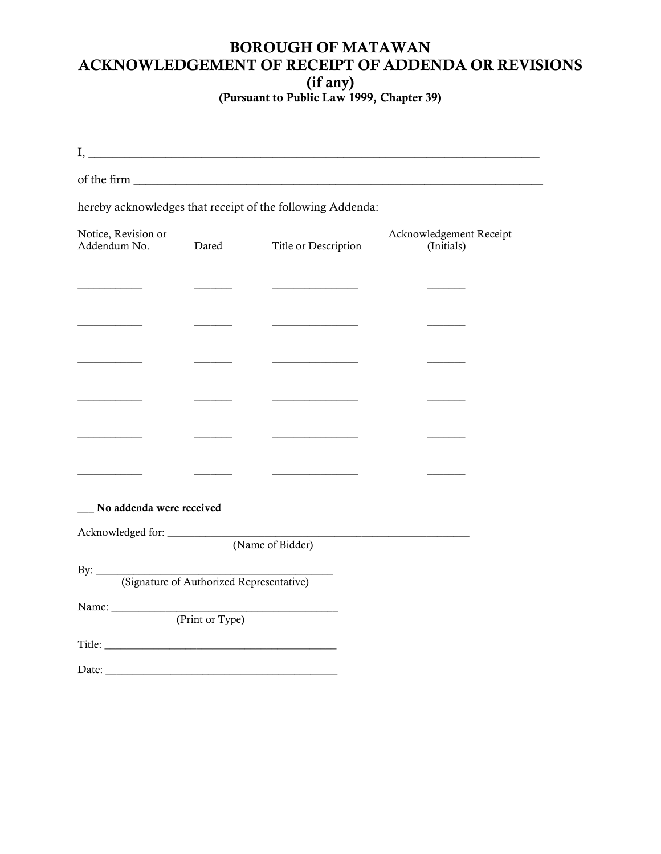# **BOROUGH OF MATAWAN ACKNOWLEDGEMENT OF RECEIPT OF ADDENDA OR REVISIONS**

**(if any)**

**(Pursuant to Public Law 1999, Chapter 39)**

|                                     |       | $\rm I,$ $\overline{\phantom{a}}$                          |                                       |  |
|-------------------------------------|-------|------------------------------------------------------------|---------------------------------------|--|
|                                     |       |                                                            |                                       |  |
|                                     |       | hereby acknowledges that receipt of the following Addenda: |                                       |  |
| Notice, Revision or<br>Addendum No. | Dated | Title or Description                                       | Acknowledgement Receipt<br>(Initials) |  |
|                                     |       | <u> 1989 - Johann Barbara, martin a</u>                    |                                       |  |
|                                     |       |                                                            |                                       |  |
|                                     |       |                                                            |                                       |  |
|                                     |       |                                                            |                                       |  |
|                                     |       |                                                            |                                       |  |
|                                     |       |                                                            |                                       |  |
| No addenda were received            |       |                                                            |                                       |  |
|                                     |       |                                                            |                                       |  |
|                                     |       |                                                            |                                       |  |
| (Print or Type)                     |       |                                                            |                                       |  |
|                                     |       |                                                            |                                       |  |
| Date:                               |       |                                                            |                                       |  |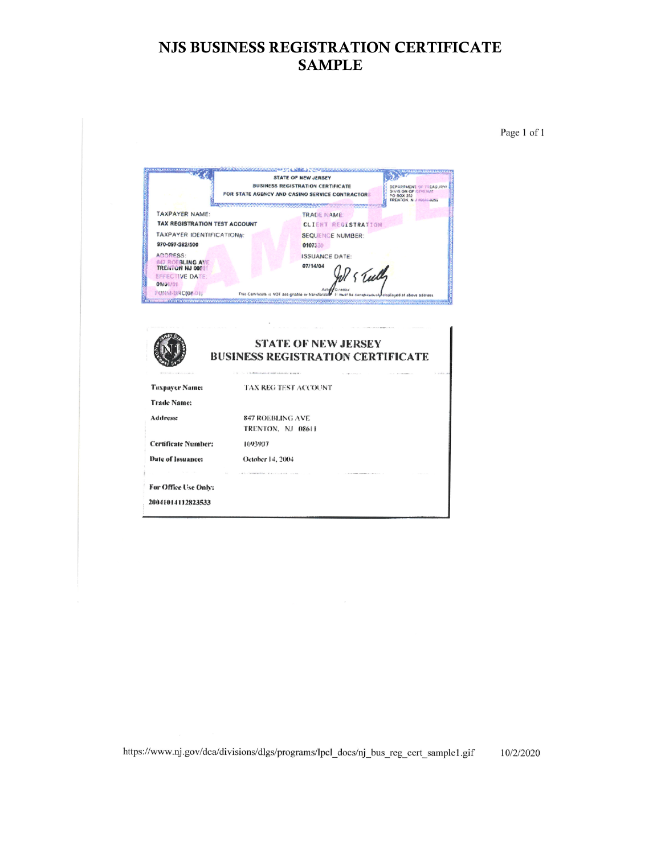## **NJS BUSINESS REGISTRATION CERTIFICATE SAMPLE**

Page 1 of 1



| the company of the second control of<br>a conserver to several manager<br>THE R. P. LEWIS CO., LANSING, MICH. 49-14039-1-120-2<br><b>STATE OF NEW JERSEY</b><br><b>BUSINESS REGISTRATION CERTIFICATE</b> |
|----------------------------------------------------------------------------------------------------------------------------------------------------------------------------------------------------------|
| $\lambda$ , and $\lambda$<br>2. St., T., 10. Molton Automobile Street, Automobile Street W. 2<br>An integration and a control of the<br>TAX REG TEST ACCOUNT                                             |
|                                                                                                                                                                                                          |
| 847 ROEBLING AVE<br>TRENTON, NJ 08611                                                                                                                                                                    |
| <b>Certificate Number:</b><br>1093907                                                                                                                                                                    |
| October 14, 2004                                                                                                                                                                                         |
| <b>Service</b><br>A R. S. LEWIS CO., LANSING MICH. 49-14039-1-120-2<br>The contract of the contract of the contract of the contract of the con-<br>For Office Use Only:<br>20041014112823533             |
|                                                                                                                                                                                                          |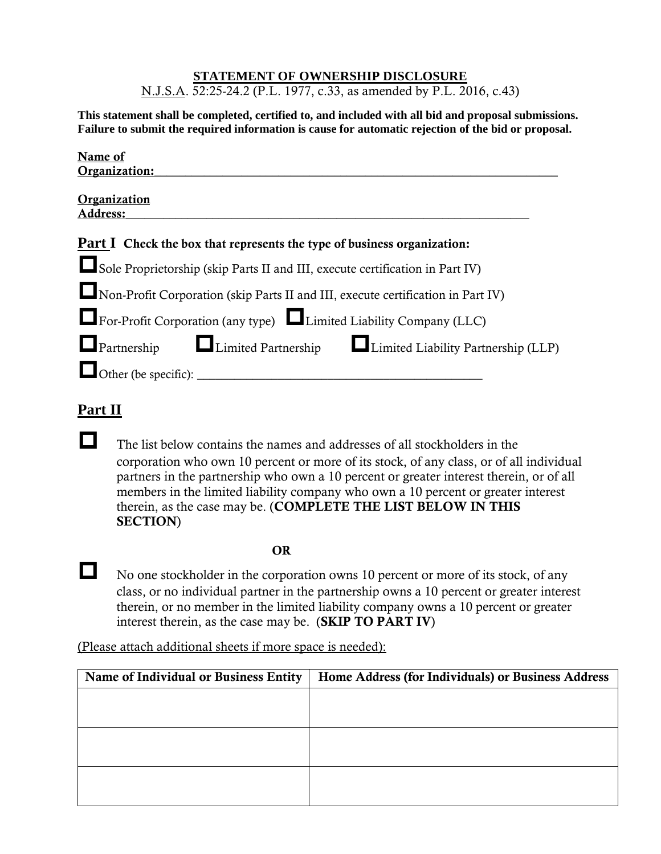### **STATEMENT OF OWNERSHIP DISCLOSURE**

N.J.S.A. 52:25-24.2 (P.L. 1977, c.33, as amended by P.L. 2016, c.43)

**This statement shall be completed, certified to, and included with all bid and proposal submissions. Failure to submit the required information is cause for automatic rejection of the bid or proposal.**

| Name of                                                                          |
|----------------------------------------------------------------------------------|
| Organization:                                                                    |
| Organization<br><b>Address:</b>                                                  |
| <b>Part I</b> Check the box that represents the type of business organization:   |
| Sole Proprietorship (skip Parts II and III, execute certification in Part IV)    |
| Non-Profit Corporation (skip Parts II and III, execute certification in Part IV) |
| For-Profit Corporation (any type) Limited Liability Company (LLC)                |
| <b>Example 2</b> Limited Partnership Limited Liability Partnership (LLP)         |
| $\Box$ Other (be specific):                                                      |
|                                                                                  |

## **Part II**

The list below contains the names and addresses of all stockholders in the corporation who own 10 percent or more of its stock, of any class, or of all individual partners in the partnership who own a 10 percent or greater interest therein, or of all members in the limited liability company who own a 10 percent or greater interest therein, as the case may be. (**COMPLETE THE LIST BELOW IN THIS SECTION**)

**OR**

No one stockholder in the corporation owns 10 percent or more of its stock, of any class, or no individual partner in the partnership owns a 10 percent or greater interest therein, or no member in the limited liability company owns a 10 percent or greater interest therein, as the case may be. (**SKIP TO PART IV**)

(Please attach additional sheets if more space is needed):

| Name of Individual or Business Entity | Home Address (for Individuals) or Business Address |
|---------------------------------------|----------------------------------------------------|
|                                       |                                                    |
|                                       |                                                    |
|                                       |                                                    |
|                                       |                                                    |
|                                       |                                                    |
|                                       |                                                    |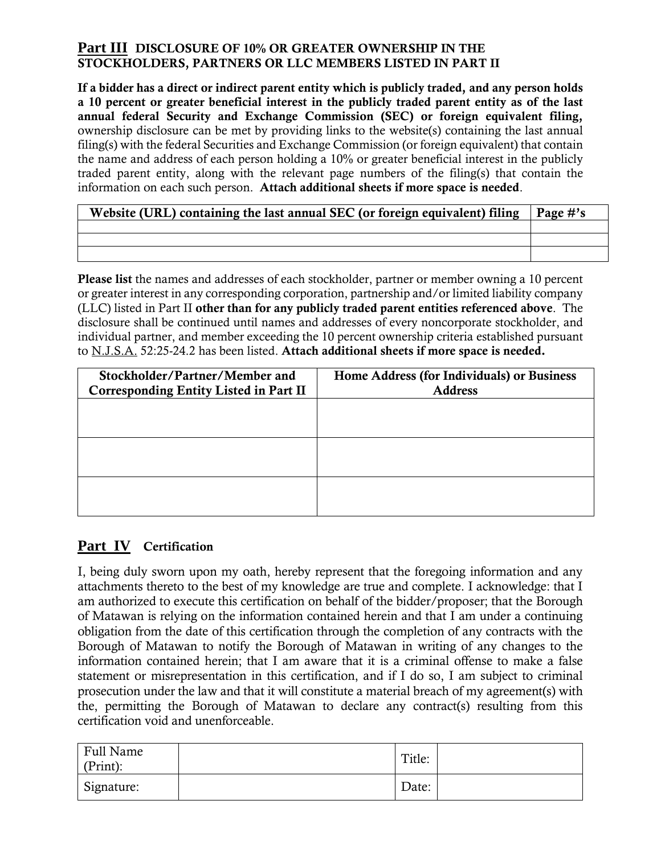## **Part III DISCLOSURE OF 10% OR GREATER OWNERSHIP IN THE STOCKHOLDERS, PARTNERS OR LLC MEMBERS LISTED IN PART II**

**If a bidder has a direct or indirect parent entity which is publicly traded, and any person holds a 10 percent or greater beneficial interest in the publicly traded parent entity as of the last annual federal Security and Exchange Commission (SEC) or foreign equivalent filing,** ownership disclosure can be met by providing links to the website(s) containing the last annual filing(s) with the federal Securities and Exchange Commission (or foreign equivalent) that contain the name and address of each person holding a 10% or greater beneficial interest in the publicly traded parent entity, along with the relevant page numbers of the filing(s) that contain the information on each such person. **Attach additional sheets if more space is needed**.

| Website (URL) containing the last annual SEC (or foreign equivalent) filing | $\vert$ Page #'s |
|-----------------------------------------------------------------------------|------------------|
|                                                                             |                  |
|                                                                             |                  |
|                                                                             |                  |

**Please list** the names and addresses of each stockholder, partner or member owning a 10 percent or greater interest in any corresponding corporation, partnership and/or limited liability company (LLC) listed in Part II **other than for any publicly traded parent entities referenced above**. The disclosure shall be continued until names and addresses of every noncorporate stockholder, and individual partner, and member exceeding the 10 percent ownership criteria established pursuant to N.J.S.A. 52:25-24.2 has been listed. **Attach additional sheets if more space is needed.**

| Stockholder/Partner/Member and<br>Corresponding Entity Listed in Part II | Home Address (for Individuals) or Business<br><b>Address</b> |
|--------------------------------------------------------------------------|--------------------------------------------------------------|
|                                                                          |                                                              |
|                                                                          |                                                              |
|                                                                          |                                                              |
|                                                                          |                                                              |
|                                                                          |                                                              |

## **Part IV Certification**

I, being duly sworn upon my oath, hereby represent that the foregoing information and any attachments thereto to the best of my knowledge are true and complete. I acknowledge: that I am authorized to execute this certification on behalf of the bidder/proposer; that the Borough of Matawan is relying on the information contained herein and that I am under a continuing obligation from the date of this certification through the completion of any contracts with the Borough of Matawan to notify the Borough of Matawan in writing of any changes to the information contained herein; that I am aware that it is a criminal offense to make a false statement or misrepresentation in this certification, and if I do so, I am subject to criminal prosecution under the law and that it will constitute a material breach of my agreement(s) with the, permitting the Borough of Matawan to declare any contract(s) resulting from this certification void and unenforceable.

| Full Name<br>(Print): | Title: |  |
|-----------------------|--------|--|
| Signature:            | Date:  |  |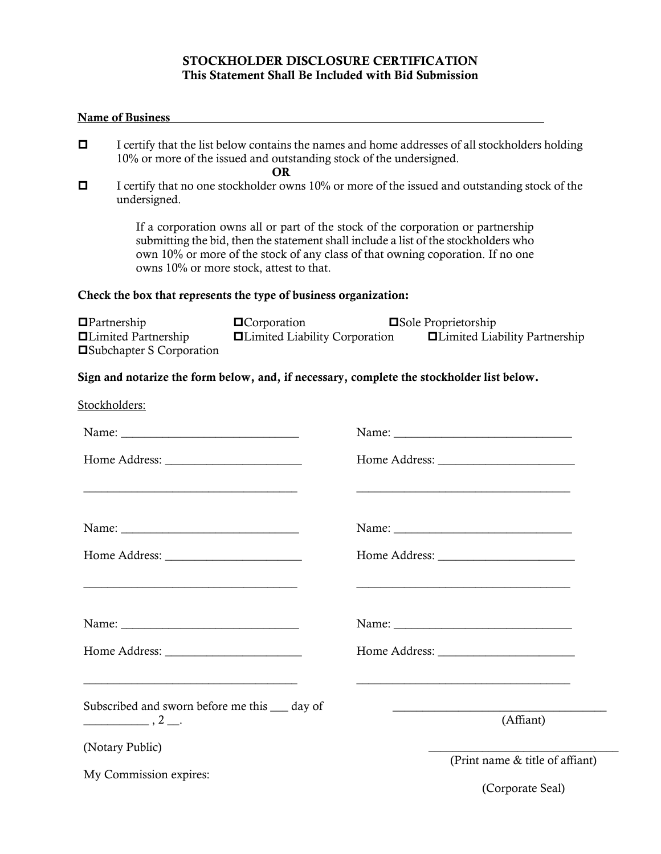#### **STOCKHOLDER DISCLOSURE CERTIFICATION This Statement Shall Be Included with Bid Submission**

#### **Name of Business**

- $\Box$  I certify that the list below contains the names and home addresses of all stockholders holding 10% or more of the issued and outstanding stock of the undersigned.
	- **OR**
- $\Box$  I certify that no one stockholder owns 10% or more of the issued and outstanding stock of the undersigned.

If a corporation owns all or part of the stock of the corporation or partnership submitting the bid, then the statement shall include a list of the stockholders who own 10% or more of the stock of any class of that owning coporation. If no one owns 10% or more stock, attest to that.

#### **Check the box that represents the type of business organization:**

| $\blacksquare$ Partnership        | $\blacksquare$ Corporation             | <b>□Sole Proprietorship</b>          |
|-----------------------------------|----------------------------------------|--------------------------------------|
| <b>ILimited Partnership</b>       | <b>Example 3</b> Liability Corporation | $\Box$ Limited Liability Partnership |
| <b>□</b> Subchapter S Corporation |                                        |                                      |

#### **Sign and notarize the form below, and, if necessary, complete the stockholder list below.**

| Stockholders:                                                                                    |                                                                                                                                    |
|--------------------------------------------------------------------------------------------------|------------------------------------------------------------------------------------------------------------------------------------|
|                                                                                                  |                                                                                                                                    |
|                                                                                                  |                                                                                                                                    |
| <u> 1989 - Johann Stoff, amerikansk politiker (d. 1989)</u>                                      | <u> 1989 - Johann Stoff, amerikansk politiker (d. 1989)</u>                                                                        |
|                                                                                                  |                                                                                                                                    |
|                                                                                                  |                                                                                                                                    |
| <u> 1989 - Johann Stoff, amerikansk politiker (d. 1989)</u>                                      | <u> 1989 - Johann John Stone, markin sanadi amerikan bahasa dalam pengaran sebagai pengaran sebagai pengaran seba</u>              |
|                                                                                                  |                                                                                                                                    |
|                                                                                                  |                                                                                                                                    |
|                                                                                                  |                                                                                                                                    |
| Subscribed and sworn before me this <u>separator</u> day of<br>$\frac{1}{2}$ , 2 $\frac{1}{2}$ . | <u> 1989 - Johann Harry Harry Harry Harry Harry Harry Harry Harry Harry Harry Harry Harry Harry Harry Harry Harry</u><br>(Affiant) |
| (Notary Public)                                                                                  | (Print name & title of affiant)                                                                                                    |
| My Commission expires:                                                                           |                                                                                                                                    |
|                                                                                                  | (Corporate Seal)                                                                                                                   |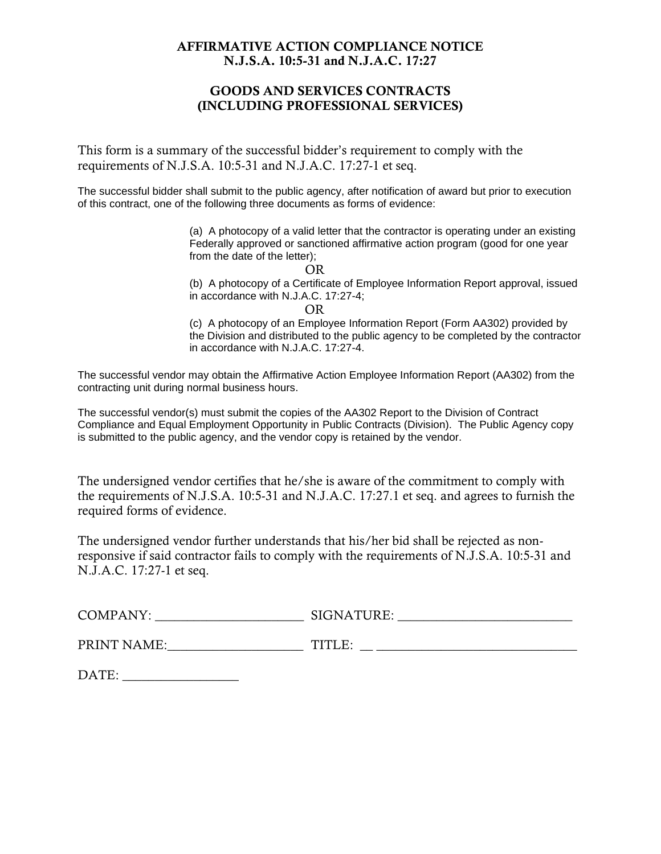### **AFFIRMATIVE ACTION COMPLIANCE NOTICE N.J.S.A. 10:5-31 and N.J.A.C. 17:27**

### **GOODS AND SERVICES CONTRACTS (INCLUDING PROFESSIONAL SERVICES)**

This form is a summary of the successful bidder's requirement to comply with the requirements of N.J.S.A. 10:5-31 and N.J.A.C. 17:27-1 et seq.

The successful bidder shall submit to the public agency, after notification of award but prior to execution of this contract, one of the following three documents as forms of evidence:

> (a) A photocopy of a valid letter that the contractor is operating under an existing Federally approved or sanctioned affirmative action program (good for one year from the date of the letter);

(b) A photocopy of a Certificate of Employee Information Report approval, issued in accordance with N.J.A.C. 17:27-4;

OR

(c) A photocopy of an Employee Information Report (Form AA302) provided by the Division and distributed to the public agency to be completed by the contractor in accordance with N.J.A.C. 17:27-4.

The successful vendor may obtain the Affirmative Action Employee Information Report (AA302) from the contracting unit during normal business hours.

The successful vendor(s) must submit the copies of the AA302 Report to the Division of Contract Compliance and Equal Employment Opportunity in Public Contracts (Division). The Public Agency copy is submitted to the public agency, and the vendor copy is retained by the vendor.

The undersigned vendor certifies that he/she is aware of the commitment to comply with the requirements of N.J.S.A. 10:5-31 and N.J.A.C. 17:27.1 et seq. and agrees to furnish the required forms of evidence.

The undersigned vendor further understands that his/her bid shall be rejected as nonresponsive if said contractor fails to comply with the requirements of N.J.S.A. 10:5-31 and N.J.A.C. 17:27-1 et seq.

| COMPANY:    | SIGNATURE: |
|-------------|------------|
| PRINT NAME: | TITLE:     |

DATE: \_\_\_\_\_\_\_\_\_\_\_\_\_\_\_\_\_\_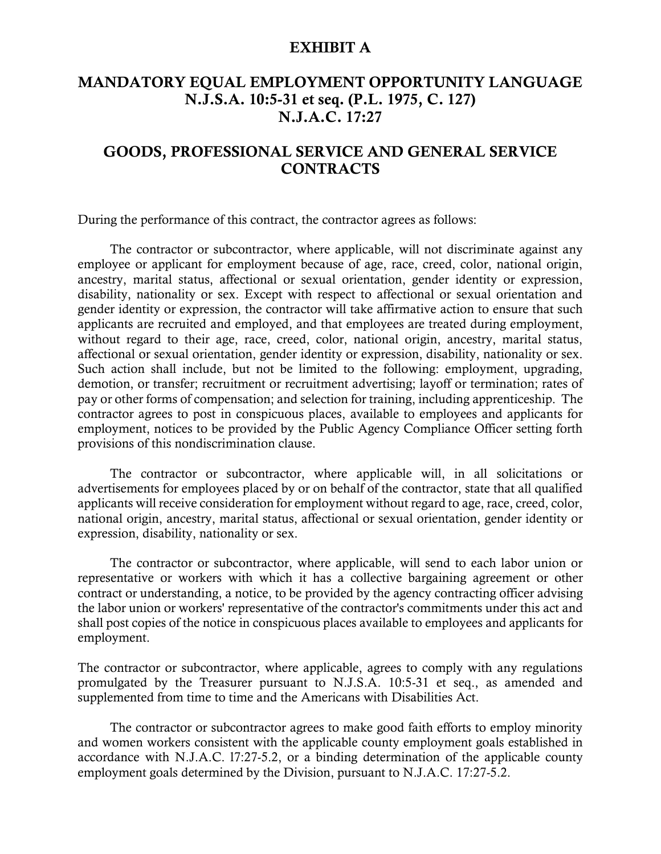### **EXHIBIT A**

## **MANDATORY EQUAL EMPLOYMENT OPPORTUNITY LANGUAGE N.J.S.A. 10:5-31 et seq. (P.L. 1975, C. 127) N.J.A.C. 17:27**

## **GOODS, PROFESSIONAL SERVICE AND GENERAL SERVICE CONTRACTS**

During the performance of this contract, the contractor agrees as follows:

The contractor or subcontractor, where applicable, will not discriminate against any employee or applicant for employment because of age, race, creed, color, national origin, ancestry, marital status, affectional or sexual orientation, gender identity or expression, disability, nationality or sex. Except with respect to affectional or sexual orientation and gender identity or expression, the contractor will take affirmative action to ensure that such applicants are recruited and employed, and that employees are treated during employment, without regard to their age, race, creed, color, national origin, ancestry, marital status, affectional or sexual orientation, gender identity or expression, disability, nationality or sex. Such action shall include, but not be limited to the following: employment, upgrading, demotion, or transfer; recruitment or recruitment advertising; layoff or termination; rates of pay or other forms of compensation; and selection for training, including apprenticeship. The contractor agrees to post in conspicuous places, available to employees and applicants for employment, notices to be provided by the Public Agency Compliance Officer setting forth provisions of this nondiscrimination clause.

The contractor or subcontractor, where applicable will, in all solicitations or advertisements for employees placed by or on behalf of the contractor, state that all qualified applicants will receive consideration for employment without regard to age, race, creed, color, national origin, ancestry, marital status, affectional or sexual orientation, gender identity or expression, disability, nationality or sex.

The contractor or subcontractor, where applicable, will send to each labor union or representative or workers with which it has a collective bargaining agreement or other contract or understanding, a notice, to be provided by the agency contracting officer advising the labor union or workers' representative of the contractor's commitments under this act and shall post copies of the notice in conspicuous places available to employees and applicants for employment.

The contractor or subcontractor, where applicable, agrees to comply with any regulations promulgated by the Treasurer pursuant to N.J.S.A. 10:5-31 et seq., as amended and supplemented from time to time and the Americans with Disabilities Act.

The contractor or subcontractor agrees to make good faith efforts to employ minority and women workers consistent with the applicable county employment goals established in accordance with N.J.A.C. l7:27-5.2, or a binding determination of the applicable county employment goals determined by the Division, pursuant to N.J.A.C. 17:27-5.2.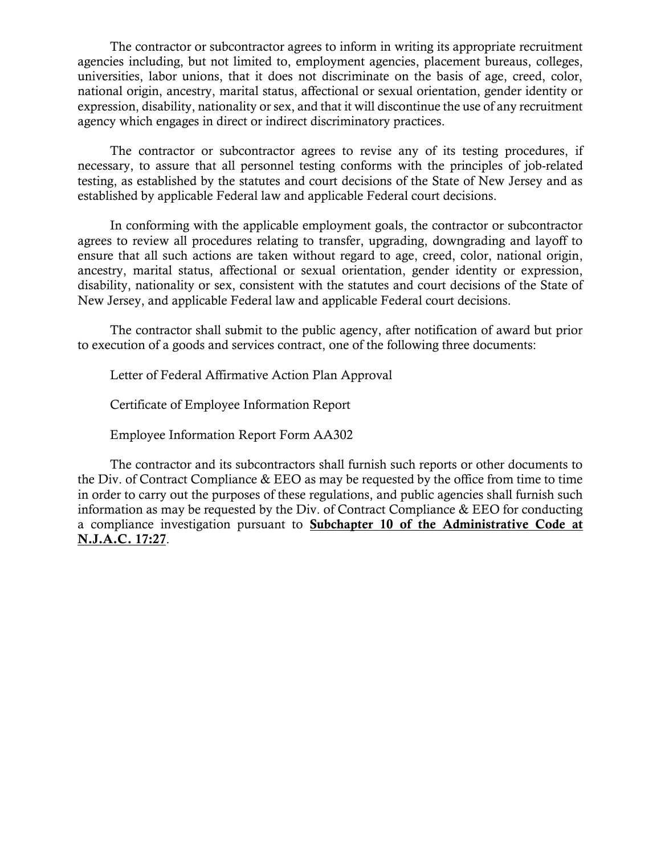The contractor or subcontractor agrees to inform in writing its appropriate recruitment agencies including, but not limited to, employment agencies, placement bureaus, colleges, universities, labor unions, that it does not discriminate on the basis of age, creed, color, national origin, ancestry, marital status, affectional or sexual orientation, gender identity or expression, disability, nationality or sex, and that it will discontinue the use of any recruitment agency which engages in direct or indirect discriminatory practices.

The contractor or subcontractor agrees to revise any of its testing procedures, if necessary, to assure that all personnel testing conforms with the principles of job-related testing, as established by the statutes and court decisions of the State of New Jersey and as established by applicable Federal law and applicable Federal court decisions.

In conforming with the applicable employment goals, the contractor or subcontractor agrees to review all procedures relating to transfer, upgrading, downgrading and layoff to ensure that all such actions are taken without regard to age, creed, color, national origin, ancestry, marital status, affectional or sexual orientation, gender identity or expression, disability, nationality or sex, consistent with the statutes and court decisions of the State of New Jersey, and applicable Federal law and applicable Federal court decisions.

The contractor shall submit to the public agency, after notification of award but prior to execution of a goods and services contract, one of the following three documents:

Letter of Federal Affirmative Action Plan Approval

Certificate of Employee Information Report

Employee Information Report Form AA302

The contractor and its subcontractors shall furnish such reports or other documents to the Div. of Contract Compliance & EEO as may be requested by the office from time to time in order to carry out the purposes of these regulations, and public agencies shall furnish such information as may be requested by the Div. of Contract Compliance & EEO for conducting a compliance investigation pursuant to **Subchapter 10 of the Administrative Code at N.J.A.C. 17:27**.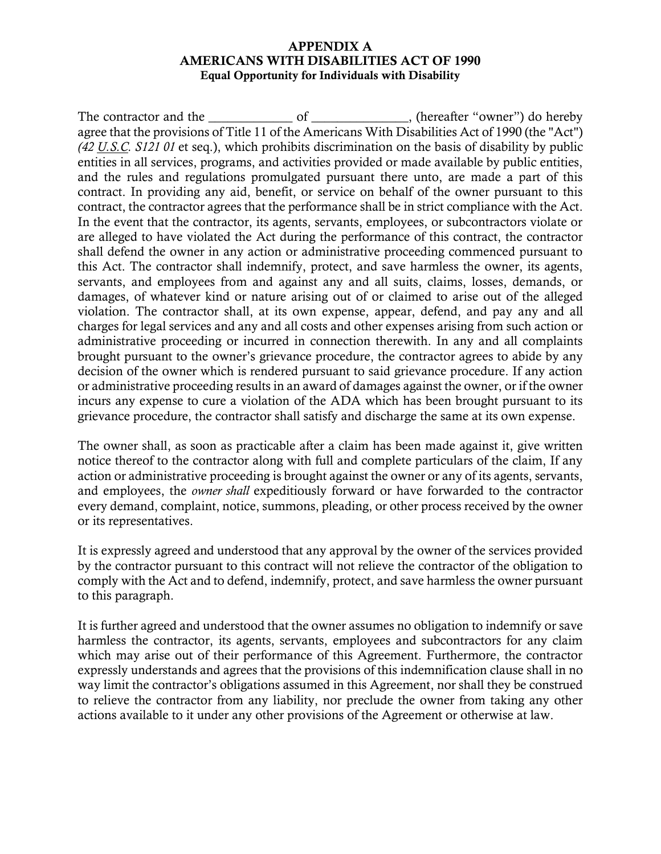#### **APPENDIX A AMERICANS WITH DISABILITIES ACT OF 1990 Equal Opportunity for Individuals with Disability**

The contractor and the \_\_\_\_\_\_\_\_\_\_\_\_\_ of \_\_\_\_\_\_\_\_\_\_\_\_\_\_\_, (hereafter "owner") do hereby agree that the provisions of Title 11 of the Americans With Disabilities Act of 1990 (the "Act") *(42 U.S.C. S121 01* et seq.), which prohibits discrimination on the basis of disability by public entities in all services, programs, and activities provided or made available by public entities, and the rules and regulations promulgated pursuant there unto, are made a part of this contract. In providing any aid, benefit, or service on behalf of the owner pursuant to this contract, the contractor agrees that the performance shall be in strict compliance with the Act. In the event that the contractor, its agents, servants, employees, or subcontractors violate or are alleged to have violated the Act during the performance of this contract, the contractor shall defend the owner in any action or administrative proceeding commenced pursuant to this Act. The contractor shall indemnify, protect, and save harmless the owner, its agents, servants, and employees from and against any and all suits, claims, losses, demands, or damages, of whatever kind or nature arising out of or claimed to arise out of the alleged violation. The contractor shall, at its own expense, appear, defend, and pay any and all charges for legal services and any and all costs and other expenses arising from such action or administrative proceeding or incurred in connection therewith. In any and all complaints brought pursuant to the owner's grievance procedure, the contractor agrees to abide by any decision of the owner which is rendered pursuant to said grievance procedure. If any action or administrative proceeding results in an award of damages against the owner, or if the owner incurs any expense to cure a violation of the ADA which has been brought pursuant to its grievance procedure, the contractor shall satisfy and discharge the same at its own expense.

The owner shall, as soon as practicable after a claim has been made against it, give written notice thereof to the contractor along with full and complete particulars of the claim, If any action or administrative proceeding is brought against the owner or any of its agents, servants, and employees, the *owner shall* expeditiously forward or have forwarded to the contractor every demand, complaint, notice, summons, pleading, or other process received by the owner or its representatives.

It is expressly agreed and understood that any approval by the owner of the services provided by the contractor pursuant to this contract will not relieve the contractor of the obligation to comply with the Act and to defend, indemnify, protect, and save harmless the owner pursuant to this paragraph.

It is further agreed and understood that the owner assumes no obligation to indemnify or save harmless the contractor, its agents, servants, employees and subcontractors for any claim which may arise out of their performance of this Agreement. Furthermore, the contractor expressly understands and agrees that the provisions of this indemnification clause shall in no way limit the contractor's obligations assumed in this Agreement, nor shall they be construed to relieve the contractor from any liability, nor preclude the owner from taking any other actions available to it under any other provisions of the Agreement or otherwise at law.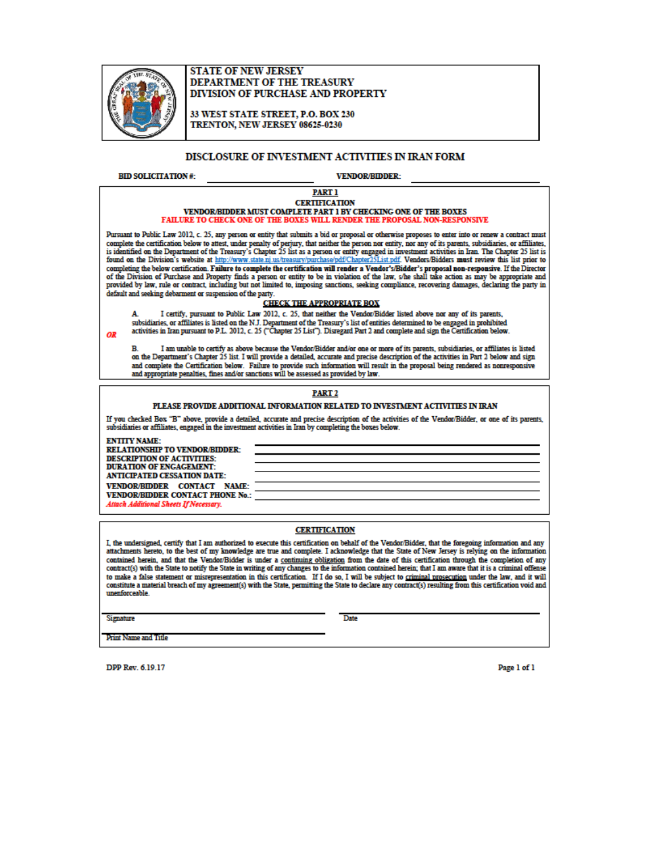

#### **STATE OF NEW JERSEY** DEPARTMENT OF THE TREASURY **DIVISION OF PURCHASE AND PROPERTY**

33 WEST STATE STREET, P.O. BOX 230 TRENTON, NEW JERSEY 08625-0230

#### DISCLOSURE OF INVESTMENT ACTIVITIES IN IRAN FORM

**BID SOLICITATION#:** 

**VENDOR/BIDDER:** 

#### **PART 1 CERTIFICATION** VENDOR/BIDDER MUST COMPLETE PART 1 BY CHECKING ONE OF THE BOXES FAILURE TO CHECK ONE OF THE BOXES WILL RENDER THE PROPOSAL NON-RESPONSIVE

Pursuant to Public Law 2012, c. 25, any person or entity that submits a bid or proposal or otherwise proposes to enter into or renew a contract must complete the certification below to attest, under penalty of perjury, that neither the person nor entity, nor any of its parents, subsidiaries, or affiliates, is identified on the Department of the Treasury's Chapter 25 li completing the below certification. Failure to complete the certification will render a Vendor's/Bidder's proposal non-responsive. If the Director of the Director of the Director of the Director of the Director of the Dire provided by law, rule or contract, including but not limited to, imposing sanctions, seeking compliance, recovering damages, declaring the party in default and seeking debarment or suspension of the party.

#### **CHECK THE APPROPRIATE BOX**

I certify, pursuant to Public Law 2012, c. 25, that neither the Vendor/Bidder listed above nor any of its parents, A subsidiaries, or affiliates is listed on the N.J. Department of the Treasury's list of entities determined to be engaged in prohibited activities in Iran pursuant to P.L. 2012, c. 25 ("Chapter 25 List"). Disregard Part 2 and complete and sign the Certification below.

B. I am unable to certify as above because the Vendor/Bidder and/or one or more of its parents, subsidiaries, or affiliates is listed<br>on the Department's Chapter 25 list. I will provide a detailed, accurate and precise des and complete the Certification below. Failure to provide such information will result in the proposal being rendered as nonresponsive and appropriate penalties, fines and/or sanctions will be assessed as provided by law.

#### PART<sub>2</sub>

#### PLEASE PROVIDE ADDITIONAL INFORMATION RELATED TO INVESTMENT ACTIVITIES IN IRAN

If you checked Box "B" above, provide a detailed, accurate and precise description of the activities of the Vendor/Bidder, or one of its parents,<br>subsidiaries or affiliates, engaged in the investment activities in Iran by

**ENTITY NAME:** RELATIONSHIP TO VENDOR/BIDDER: **DESCRIPTION OF ACTIVITIES: DURATION OF ENGAGEMENT: ANTICIPATED CESSATION DATE:** VENDOR/BIDDER CONTACT NAME: VENDOR/BIDDER CONTACT PHONE No.: Attach Additional Sheets If Necessary.

#### **CERTIFICATION**

I, the undersigned, certify that I am authorized to execute this certification on behalf of the Vendor/Bidder, that the foregoing information and any attachments hereto, to the best of my knowledge are true and complete. I acknowledge that the State of New Jersey is relying on the information contained herein, and that the Vendor/Bidder is under a continuing obligation from the date of this certification through the completion of any contract(s) with the State to notify the State in writing of any changes to the information contained herein; that I am aware that it is a criminal offense to make a false statement or misrepresentation in this certification. If I do so, I will be subject to criminal prosecution under the law, and it will constitute a material breach of my agreement(s) with the State, permitting the State to declare any contract(s) resulting from this certification void and unenforceable.

**Signature** 

OR

Date

**Print Name and Title** 

DPP Rev. 6.19.17

Page 1 of 1